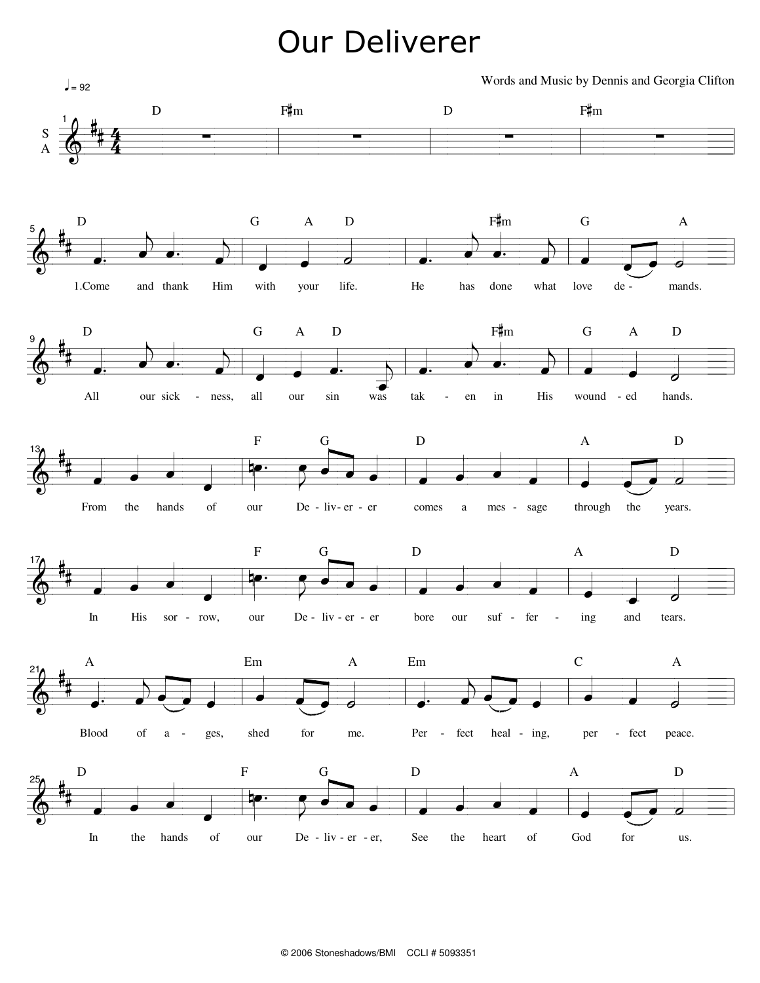## **Our Deliverer**

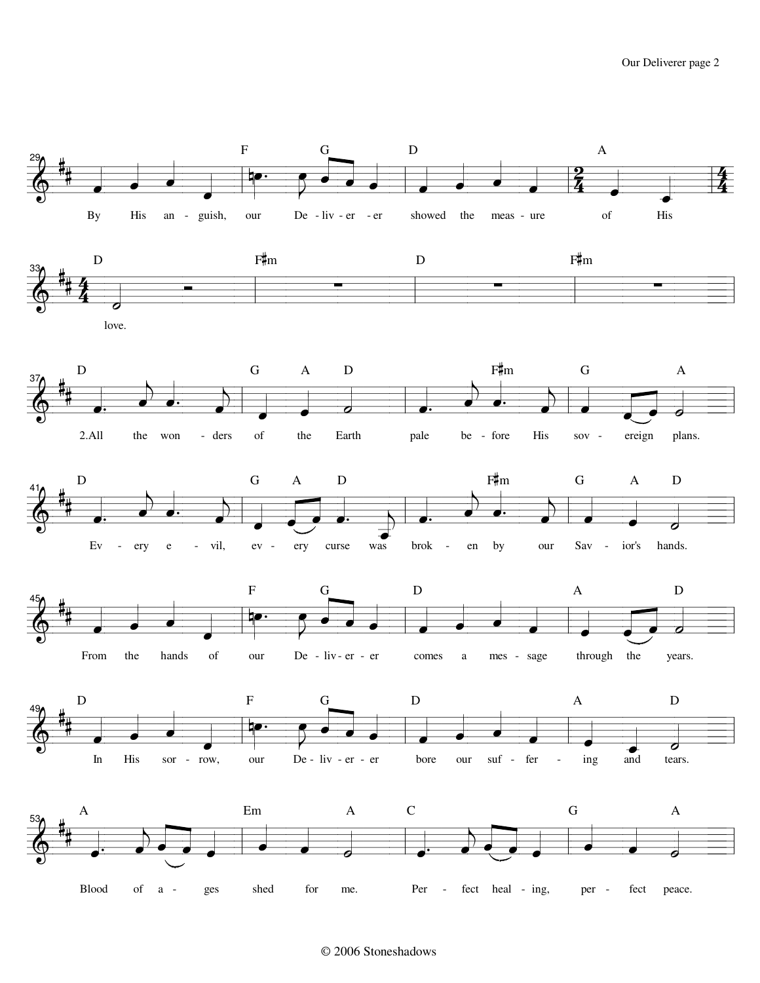

## © 2006 Stoneshadows